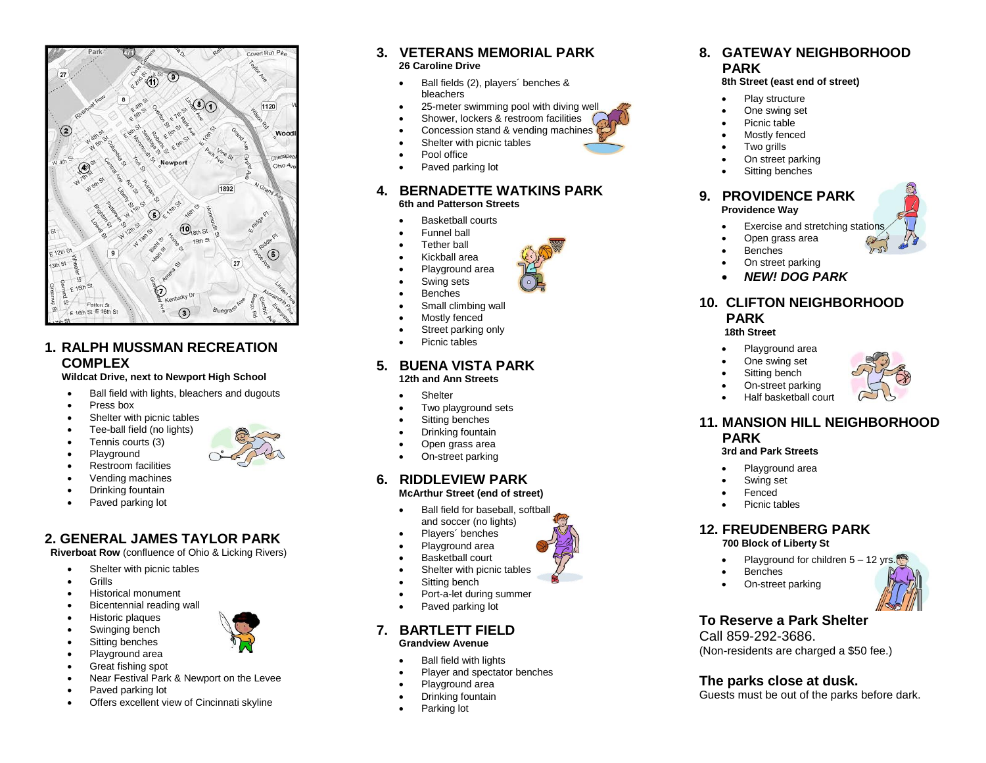

#### **1. RALPH MUSSMAN RECREATION COMPLEX**

**Wildcat Drive, next to Newport High School**

- Ball field with lights, bleachers and dugouts
- Press box
- Shelter with picnic tables
- Tee-ball field (no lights)
- Tennis courts (3)
- Playground Restroom facilities
- 
- Vending machines
- Drinking fountain
- Paved parking lot

## **2. GENERAL JAMES TAYLOR PARK**

**Riverboat Row** (confluence of Ohio & Licking Rivers)

- Shelter with picnic tables
- Grills
- Historical monument
- Bicentennial reading wall
- Historic plaques
- Swinging bench
- Sitting benches
- Playground area
- Great fishing spot Near Festival Park & Newport on the Levee
- Paved parking lot
- Offers excellent view of Cincinnati skyline

#### **3. VETERANS MEMORIAL PARK 26 Caroline Drive**

- Ball fields (2), players´ benches & bleachers
- 25-meter swimming pool with diving well
- Shower, lockers & restroom facilities
- Concession stand & vending machines
- Shelter with picnic tables
- Pool office
- Paved parking lot

#### **4. BERNADETTE WATKINS PARK 6th and Patterson Streets**

- Basketball courts
- Funnel ball
- Tether ball
- Kickball area
- Playground area
	- Swing sets
- Benches
- Small climbing wall
- Mostly fenced
- Street parking only
- Picnic tables

# **5. BUENA VISTA PARK**

### **12th and Ann Streets**

- **Shelter**
- Two playground sets
- Sitting benches
- Drinking fountain
- Open grass area
- On-street parking

#### **6. RIDDLEVIEW PARK McArthur Street (end of street)**

- 
- Ball field for baseball, softball and soccer (no lights)
- Players´ benches
- Playground area
- Basketball court
- Shelter with picnic tables
- Sitting bench
- Port-a-let during summer
- Paved parking lot

#### **7. BARTLETT FIELD Grandview Avenue**

- Ball field with lights
- Player and spectator benches
- Playground area
- Drinking fountain
- Parking lot

#### **8. GATEWAY NEIGHBORHOOD PARK**

#### **8th Street (east end of street)**

- Play structure
- One swing set
- Picnic table
- Mostly fenced
- Two arills
- On street parking
- Sitting benches

#### **9. PROVIDENCE PARK Providence Way**

- Exercise and stretching stations
- Open grass area
- Benches
- On street parking
- *NEW! DOG PARK*

#### **10. CLIFTON NEIGHBORHOOD PARK**

#### **18th Street**

- Playground area
- One swing set
- Sitting bench
- 
- On-street parking Half basketball court

## **11. MANSION HILL NEIGHBORHOOD PARK**

## **3rd and Park Streets**

- Playground area
- Swing set
- Fenced
- Picnic tables

Call 859-292-3686.

#### **12. FREUDENBERG PARK 700 Block of Liberty St**

On-street parking

**To Reserve a Park Shelter**

**The parks close at dusk.**

(Non -residents are charged a \$50 fee.)

Guests must be out of the parks before dark.

• Playground for children 5 - 12 yrs. Benches